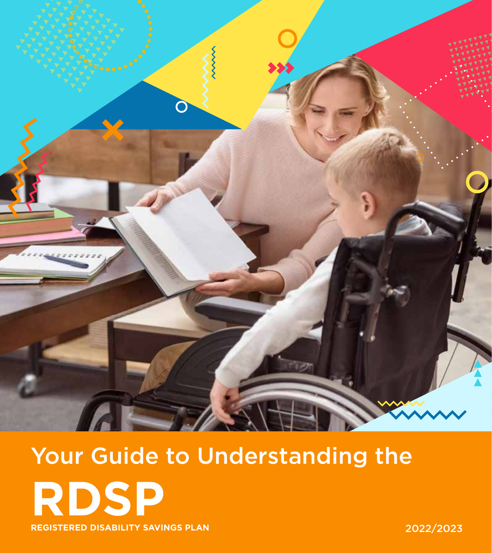

# Your Guide to Understanding the **RDSP REGISTERED DISABILITY SAVINGS PLAN** 2022/2023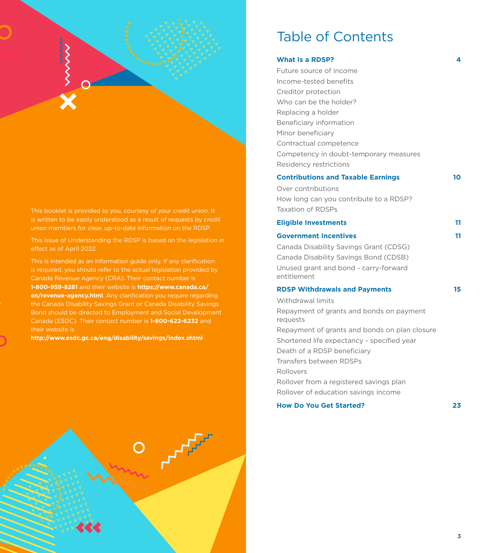

This booklet is provided to you, courtesy of your credit union. It is written to be easily understood as a result of requests by credit union members for clear, up-to-date information on the RDSP.

This issue of Understanding the RDSP is based on the legislation in effect as of April 2022.

This is intended as an information guide only. If any clarification is required, you should refer to the actual legislation provided by Canada Revenue Agency (CRA). Their contact number is **1-800-959-8281** and their website is **https://www.canada.ca/ en/revenue-agency.html**. Any clarification you require regarding the Canada Disability Savings Grant or Canada Disability Savings Bond should be directed to Employment and Social Development Canada (ESDC). Their contact number is **1-800-622-6232** and their website is

**http://www.esdc.gc.ca/eng/disability/savings/index.shtml**

# Table of Contents

| What Is a RDSP?                                      | 4  |
|------------------------------------------------------|----|
| Future source of income                              |    |
| Income-tested benefits                               |    |
| Creditor protection                                  |    |
| Who can be the holder?                               |    |
| Replacing a holder                                   |    |
| Beneficiary information                              |    |
| Minor beneficiary                                    |    |
| Contractual competence                               |    |
| Competency in doubt-temporary measures               |    |
| Residency restrictions                               |    |
| <b>Contributions and Taxable Earnings</b>            | 10 |
| Over contributions                                   |    |
| How long can you contribute to a RDSP?               |    |
| <b>Taxation of RDSPs</b>                             |    |
| <b>Eligible Investments</b>                          | 11 |
| <b>Government Incentives</b>                         | 11 |
| Canada Disability Savings Grant (CDSG)               |    |
| Canada Disability Savings Bond (CDSB)                |    |
| Unused grant and bond - carry-forward                |    |
| entitlement                                          |    |
| <b>RDSP Withdrawals and Payments</b>                 | 15 |
| Withdrawal limits                                    |    |
| Repayment of grants and bonds on payment<br>requests |    |
| Repayment of grants and bonds on plan closure        |    |
| Shortened life expectancy - specified year           |    |
| Death of a RDSP beneficiary                          |    |
| Transfers between RDSPs                              |    |
| Rollovers                                            |    |
| Rollover from a registered savings plan              |    |
| Rollover of education savings income                 |    |
|                                                      |    |

**How Do You Get Started? 23**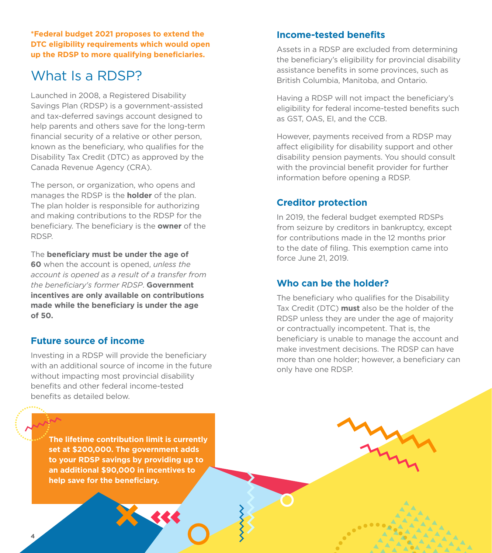**\*Federal budget 2021 proposes to extend the DTC eligibility requirements which would open up the RDSP to more qualifying beneficiaries.**

# What Is a RDSP?

Launched in 2008, a Registered Disability Savings Plan (RDSP) is a government-assisted and tax-deferred savings account designed to help parents and others save for the long-term financial security of a relative or other person, known as the beneficiary, who qualifies for the Disability Tax Credit (DTC) as approved by the Canada Revenue Agency (CRA).

The person, or organization, who opens and manages the RDSP is the **holder** of the plan. The plan holder is responsible for authorizing and making contributions to the RDSP for the beneficiary. The beneficiary is the **owner** of the RDSP.

The **beneficiary must be under the age of 60** when the account is opened, *unless the account is opened as a result of a transfer from the beneficiary's former RDSP*. **Government incentives are only available on contributions made while the beneficiary is under the age of 50.**

#### **Future source of income**

Investing in a RDSP will provide the beneficiary with an additional source of income in the future without impacting most provincial disability benefits and other federal income-tested benefits as detailed below.

**The lifetime contribution limit is currently set at \$200,000. The government adds to your RDSP savings by providing up to an additional \$90,000 in incentives to help save for the beneficiary.**

## **Income-tested benefits**

Assets in a RDSP are excluded from determining the beneficiary's eligibility for provincial disability assistance benefits in some provinces, such as British Columbia, Manitoba, and Ontario.

Having a RDSP will not impact the beneficiary's eligibility for federal income-tested benefits such as GST, OAS, EI, and the CCB.

However, payments received from a RDSP may affect eligibility for disability support and other disability pension payments. You should consult with the provincial benefit provider for further information before opening a RDSP.

## **Creditor protection**

In 2019, the federal budget exempted RDSPs from seizure by creditors in bankruptcy, except for contributions made in the 12 months prior to the date of filing. This exemption came into force June 21, 2019.

## **Who can be the holder?**

The beneficiary who qualifies for the Disability Tax Credit (DTC) **must** also be the holder of the RDSP unless they are under the age of majority or contractually incompetent. That is, the beneficiary is unable to manage the account and make investment decisions. The RDSP can have more than one holder; however, a beneficiary can only have one RDSP.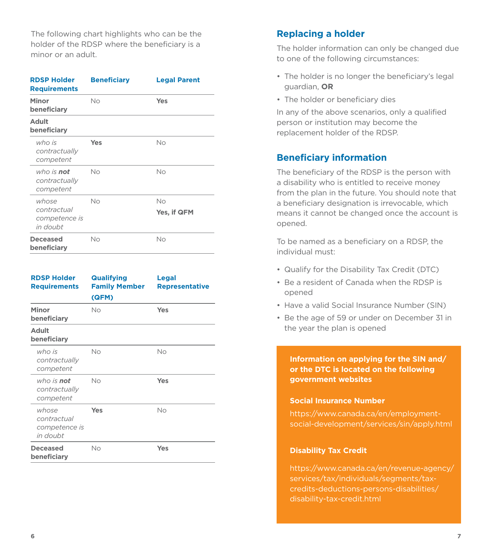The following chart highlights who can be the holder of the RDSP where the beneficiary is a minor or an adult.

| <b>RDSP Holder</b><br><b>Requirements</b>         | <b>Beneficiary</b> | <b>Legal Parent</b> |
|---------------------------------------------------|--------------------|---------------------|
| Minor<br>beneficiary                              | No                 | Yes                 |
| <b>Adult</b><br>beneficiary                       |                    |                     |
| who is<br>contractually<br>competent              | Yes                | No                  |
| who is <b>not</b><br>contractually<br>competent   | No                 | No                  |
| whose<br>contractual<br>competence is<br>in doubt | No                 | No<br>Yes, if QFM   |
| <b>Deceased</b><br>beneficiary                    | No                 | No                  |

| <b>RDSP Holder</b><br><b>Requirements</b>         | <b>Qualifying</b><br><b>Family Member</b><br>(QFM) | Legal<br><b>Representative</b> |
|---------------------------------------------------|----------------------------------------------------|--------------------------------|
| Minor<br>beneficiary                              | Nο                                                 | Yes                            |
| <b>Adult</b><br>beneficiary                       |                                                    |                                |
| who is<br>contractually<br>competent              | No                                                 | Nο                             |
| who is <b>not</b><br>contractually<br>competent   | Nο                                                 | Yes                            |
| whose<br>contractual<br>competence is<br>in doubt | Yes                                                | No                             |
| <b>Deceased</b><br>beneficiary                    | No                                                 | Yes                            |

# **Replacing a holder**

The holder information can only be changed due to one of the following circumstances:

- The holder is no longer the beneficiary's legal guardian, **OR**
- The holder or beneficiary dies

In any of the above scenarios, only a qualified person or institution may become the replacement holder of the RDSP.

# **Beneficiary information**

The beneficiary of the RDSP is the person with a disability who is entitled to receive money from the plan in the future. You should note that a beneficiary designation is irrevocable, which means it cannot be changed once the account is opened.

To be named as a beneficiary on a RDSP, the individual must:

- Qualify for the Disability Tax Credit (DTC)
- Be a resident of Canada when the RDSP is opened
- Have a valid Social Insurance Number (SIN)
- Be the age of 59 or under on December 31 in the year the plan is opened

**Information on applying for the SIN and/ or the DTC is located on the following government websites**

#### **Social Insurance Number**

https://www.canada.ca/en/employmentsocial-development/services/sin/apply.html

#### **Disability Tax Credit**

https://www.canada.ca/en/revenue-agency/ services/tax/individuals/segments/taxcredits-deductions-persons-disabilities/ disability-tax-credit.html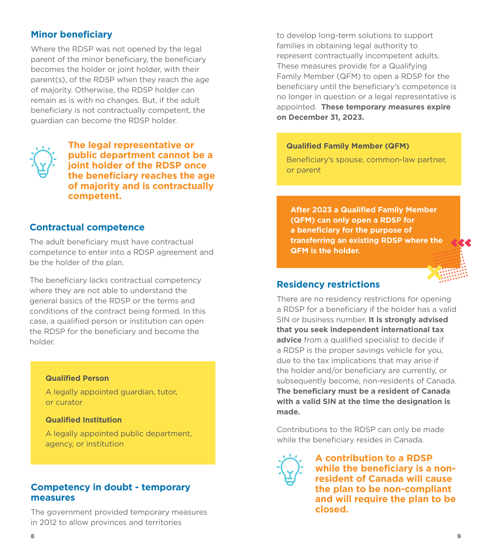# **Minor beneficiary**

Where the RDSP was not opened by the legal parent of the minor beneficiary, the beneficiary becomes the holder or joint holder, with their parent(s), of the RDSP when they reach the age of majority. Otherwise, the RDSP holder can remain as is with no changes. But, if the adult beneficiary is not contractually competent, the guardian can become the RDSP holder.



**The legal representative or public department cannot be a joint holder of the RDSP once the beneficiary reaches the age of majority and is contractually competent.**

#### **Contractual competence**

The adult beneficiary must have contractual competence to enter into a RDSP agreement and be the holder of the plan.

The beneficiary lacks contractual competency where they are not able to understand the general basics of the RDSP or the terms and conditions of the contract being formed. In this case, a qualified person or institution can open the RDSP for the beneficiary and become the holder.

#### **Qualified Person**

A legally appointed guardian, tutor, or curator

#### **Qualified Institution**

A legally appointed public department, agency, or institution

#### **Competency in doubt - temporary measures**

The government provided temporary measures in 2012 to allow provinces and territories

to develop long-term solutions to support families in obtaining legal authority to represent contractually incompetent adults. These measures provide for a Qualifying Family Member (QFM) to open a RDSP for the beneficiary until the beneficiary's competence is no longer in question or a legal representative is appointed. **These temporary measures expire on December 31, 2023.**

#### **Qualified Family Member (QFM)**

Beneficiary's spouse, common-law partner, or parent

**After 2023 a Qualified Family Member (QFM) can only open a RDSP for a beneficiary for the purpose of transferring an existing RDSP where the QFM is the holder.**



There are no residency restrictions for opening a RDSP for a beneficiary if the holder has a valid SIN or business number. **It is strongly advised that you seek independent international tax advice** from a qualified specialist to decide if a RDSP is the proper savings vehicle for you, due to the tax implications that may arise if the holder and/or beneficiary are currently, or subsequently become, non-residents of Canada. **The beneficiary must be a resident of Canada with a valid SIN at the time the designation is made.** 

Contributions to the RDSP can only be made while the beneficiary resides in Canada.



**A contribution to a RDSP while the beneficiary is a nonresident of Canada will cause the plan to be non-compliant and will require the plan to be closed.**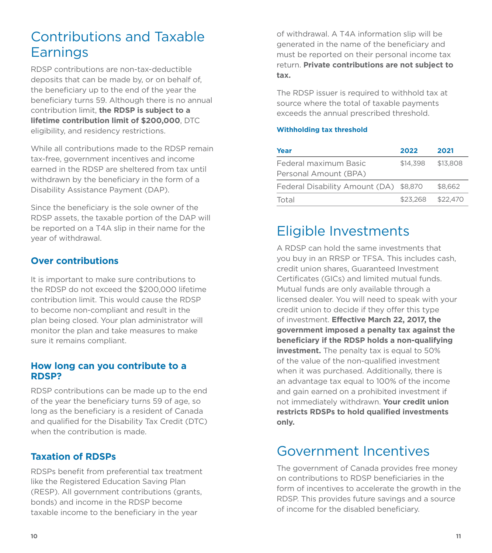# Contributions and Taxable **Earnings**

RDSP contributions are non-tax-deductible deposits that can be made by, or on behalf of, the beneficiary up to the end of the year the beneficiary turns 59. Although there is no annual contribution limit, **the RDSP is subject to a lifetime contribution limit of \$200,000**, DTC eligibility, and residency restrictions.

While all contributions made to the RDSP remain tax-free, government incentives and income earned in the RDSP are sheltered from tax until withdrawn by the beneficiary in the form of a Disability Assistance Payment (DAP).

Since the beneficiary is the sole owner of the RDSP assets, the taxable portion of the DAP will be reported on a T4A slip in their name for the year of withdrawal.

# **Over contributions**

It is important to make sure contributions to the RDSP do not exceed the \$200,000 lifetime contribution limit. This would cause the RDSP to become non-compliant and result in the plan being closed. Your plan administrator will monitor the plan and take measures to make sure it remains compliant.

#### **How long can you contribute to a RDSP?**

RDSP contributions can be made up to the end of the year the beneficiary turns 59 of age, so long as the beneficiary is a resident of Canada and qualified for the Disability Tax Credit (DTC) when the contribution is made.

# **Taxation of RDSPs**

RDSPs benefit from preferential tax treatment like the Registered Education Saving Plan (RESP). All government contributions (grants, bonds) and income in the RDSP become taxable income to the beneficiary in the year

of withdrawal. A T4A information slip will be generated in the name of the beneficiary and must be reported on their personal income tax return. **Private contributions are not subject to tax.** 

The RDSP issuer is required to withhold tax at source where the total of taxable payments exceeds the annual prescribed threshold.

#### **Withholding tax threshold**

| Year                                   | 2022     | 2021     |
|----------------------------------------|----------|----------|
| Federal maximum Basic                  | \$14,398 | \$13,808 |
| Personal Amount (BPA)                  |          |          |
| Federal Disability Amount (DA) \$8,870 |          | \$8,662  |
| Total                                  | \$23,268 | \$22,470 |

# Eligible Investments

A RDSP can hold the same investments that you buy in an RRSP or TFSA. This includes cash, credit union shares, Guaranteed Investment Certificates (GICs) and limited mutual funds. Mutual funds are only available through a licensed dealer. You will need to speak with your credit union to decide if they offer this type of investment. **Effective March 22, 2017, the government imposed a penalty tax against the beneficiary if the RDSP holds a non-qualifying investment.** The penalty tax is equal to 50% of the value of the non-qualified investment when it was purchased. Additionally, there is an advantage tax equal to 100% of the income and gain earned on a prohibited investment if not immediately withdrawn. **Your credit union restricts RDSPs to hold qualified investments only.**

# Government Incentives

The government of Canada provides free money on contributions to RDSP beneficiaries in the form of incentives to accelerate the growth in the RDSP. This provides future savings and a source of income for the disabled beneficiary.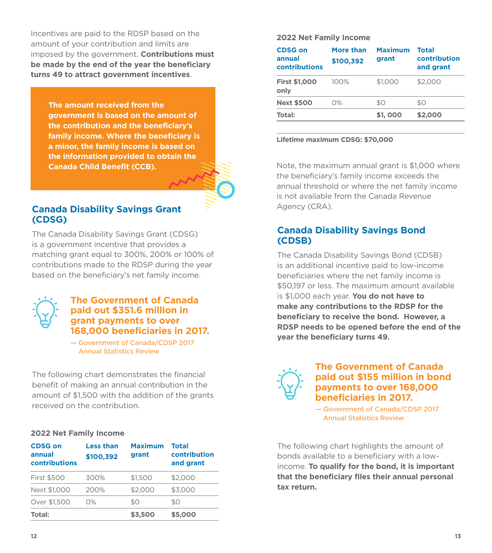Incentives are paid to the RDSP based on the amount of your contribution and limits are imposed by the government. **Contributions must be made by the end of the year the beneficiary turns 49 to attract government incentives**.

**The amount received from the government is based on the amount of the contribution and the beneficiary's family income. Where the beneficiary is a minor, the family income is based on the information provided to obtain the Canada Child Benefit (CCB).** 

#### **Canada Disability Savings Grant (CDSG)**

The Canada Disability Savings Grant (CDSG) is a government incentive that provides a matching grant equal to 300%, 200% or 100% of contributions made to the RDSP during the year based on the beneficiary's net family income.



#### **The Government of Canada paid out \$351.6 million in grant payments to over 168,000 beneficiaries in 2017.**

— Government of Canada/CDSP 2017 Annual Statistics Review

The following chart demonstrates the financial benefit of making an annual contribution in the amount of \$1,500 with the addition of the grants received on the contribution.

#### **2022 Net Family Income**

| <b>CDSG on</b><br>annual<br>contributions | <b>Less than</b><br>\$100,392 | <b>Maximum</b><br>grant | Total<br>contribution<br>and grant |
|-------------------------------------------|-------------------------------|-------------------------|------------------------------------|
| <b>First \$500</b>                        | 300%                          | \$1,500                 | \$2,000                            |
| Next \$1,000                              | 200%                          | \$2,000                 | \$3,000                            |
| Over \$1,500                              | $O\%$                         | \$0                     | \$0                                |
| Total:                                    |                               | \$3,500                 | \$5,000                            |

#### **2022 Net Family Income**

| <b>CDSG on</b><br>annual<br>contributions | More than<br>\$100.392 | <b>Maximum</b><br>grant | <b>Total</b><br>contribution<br>and grant |
|-------------------------------------------|------------------------|-------------------------|-------------------------------------------|
| <b>First \$1,000</b><br>only              | $100\%$                | \$1,000                 | \$2,000                                   |
| <b>Next \$500</b>                         | $O\%$                  | \$0                     | \$0                                       |
| Total:                                    |                        | \$1,000                 | \$2,000                                   |

#### **Lifetime maximum CDSG: \$70,000**

Note, the maximum annual grant is \$1,000 where the beneficiary's family income exceeds the annual threshold or where the net family income is not available from the Canada Revenue Agency (CRA).

## **Canada Disability Savings Bond (CDSB)**

The Canada Disability Savings Bond (CDSB) is an additional incentive paid to low-income beneficiaries where the net family income is \$50,197 or less. The maximum amount available is \$1,000 each year. **You do not have to make any contributions to the RDSP for the beneficiary to receive the bond. However, a RDSP needs to be opened before the end of the year the beneficiary turns 49.**



#### **The Government of Canada paid out \$155 million in bond payments to over 168,000 beneficiaries in 2017.**

— Government of Canada/CDSP 2017 Annual Statistics Review

The following chart highlights the amount of bonds available to a beneficiary with a lowincome. **To qualify for the bond, it is important that the beneficiary files their annual personal tax return.**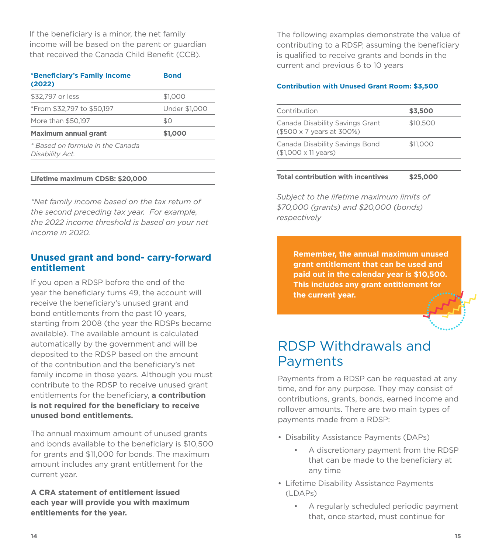If the beneficiary is a minor, the net family income will be based on the parent or guardian that received the Canada Child Benefit (CCB).

| *Beneficiary's Family Income<br>(2022)              | <b>Bond</b>          |
|-----------------------------------------------------|----------------------|
| \$32,797 or less                                    | \$1,000              |
| *From \$32,797 to \$50,197                          | <b>Under \$1,000</b> |
| More than \$50,197                                  | \$0                  |
| Maximum annual grant                                | \$1,000              |
| * Based on formula in the Canada<br>Disability Act. |                      |

#### **Lifetime maximum CDSB: \$20,000**

*\*Net family income based on the tax return of the second preceding tax year. For example, the 2022 income threshold is based on your net income in 2020.*

#### **Unused grant and bond- carry-forward entitlement**

If you open a RDSP before the end of the year the beneficiary turns 49, the account will receive the beneficiary's unused grant and bond entitlements from the past 10 years, starting from 2008 (the year the RDSPs became available). The available amount is calculated automatically by the government and will be deposited to the RDSP based on the amount of the contribution and the beneficiary's net family income in those years. Although you must contribute to the RDSP to receive unused grant entitlements for the beneficiary, **a contribution is not required for the beneficiary to receive unused bond entitlements.**

The annual maximum amount of unused grants and bonds available to the beneficiary is \$10,500 for grants and \$11,000 for bonds. The maximum amount includes any grant entitlement for the current year.

**A CRA statement of entitlement issued each year will provide you with maximum entitlements for the year.** 

The following examples demonstrate the value of contributing to a RDSP, assuming the beneficiary is qualified to receive grants and bonds in the current and previous 6 to 10 years

#### **Contribution with Unused Grant Room: \$3,500**

| Contribution                                                         |          |
|----------------------------------------------------------------------|----------|
|                                                                      | \$3,500  |
| Canada Disability Savings Grant<br>(\$500 x 7 years at 300%)         | \$10,500 |
| Canada Disability Savings Bond<br>$($1,000 \times 11 \text{ years})$ | \$11,000 |
|                                                                      |          |

#### **Total contribution with incentives \$25,000**

*Subject to the lifetime maximum limits of \$70,000 (grants) and \$20,000 (bonds) respectively*

> **Remember, the annual maximum unused grant entitlement that can be used and paid out in the calendar year is \$10,500. This includes any grant entitlement for the current year.**



# RDSP Withdrawals and Payments

Payments from a RDSP can be requested at any time, and for any purpose. They may consist of contributions, grants, bonds, earned income and rollover amounts. There are two main types of payments made from a RDSP:

- Disability Assistance Payments (DAPs)
	- A discretionary payment from the RDSP that can be made to the beneficiary at any time
- Lifetime Disability Assistance Payments (LDAPs)
	- A regularly scheduled periodic payment that, once started, must continue for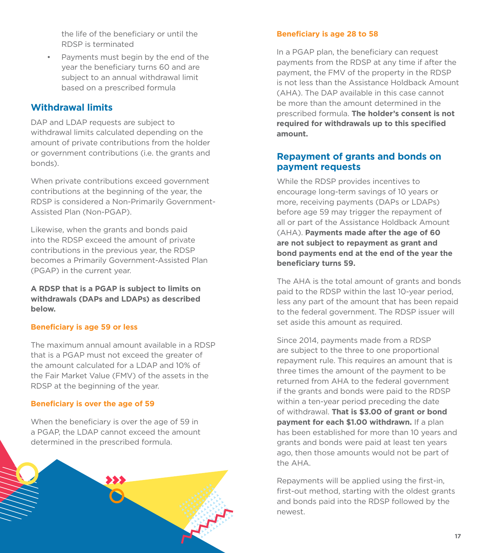the life of the beneficiary or until the RDSP is terminated

• Payments must begin by the end of the year the beneficiary turns 60 and are subject to an annual withdrawal limit based on a prescribed formula

## **Withdrawal limits**

DAP and LDAP requests are subject to withdrawal limits calculated depending on the amount of private contributions from the holder or government contributions (i.e. the grants and bonds).

When private contributions exceed government contributions at the beginning of the year, the RDSP is considered a Non-Primarily Government-Assisted Plan (Non-PGAP).

Likewise, when the grants and bonds paid into the RDSP exceed the amount of private contributions in the previous year, the RDSP becomes a Primarily Government-Assisted Plan (PGAP) in the current year.

**A RDSP that is a PGAP is subject to limits on withdrawals (DAPs and LDAPs) as described below.**

#### **Beneficiary is age 59 or less**

The maximum annual amount available in a RDSP that is a PGAP must not exceed the greater of the amount calculated for a LDAP and 10% of the Fair Market Value (FMV) of the assets in the RDSP at the beginning of the year.

#### **Beneficiary is over the age of 59**

When the beneficiary is over the age of 59 in a PGAP, the LDAP cannot exceed the amount determined in the prescribed formula.



#### **Beneficiary is age 28 to 58**

In a PGAP plan, the beneficiary can request payments from the RDSP at any time if after the payment, the FMV of the property in the RDSP is not less than the Assistance Holdback Amount (AHA). The DAP available in this case cannot be more than the amount determined in the prescribed formula. **The holder's consent is not required for withdrawals up to this specified amount.** 

# **Repayment of grants and bonds on payment requests**

While the RDSP provides incentives to encourage long-term savings of 10 years or more, receiving payments (DAPs or LDAPs) before age 59 may trigger the repayment of all or part of the Assistance Holdback Amount (AHA). **Payments made after the age of 60 are not subject to repayment as grant and bond payments end at the end of the year the beneficiary turns 59.**

The AHA is the total amount of grants and bonds paid to the RDSP within the last 10-year period. less any part of the amount that has been repaid to the federal government. The RDSP issuer will set aside this amount as required.

Since 2014, payments made from a RDSP are subject to the three to one proportional repayment rule. This requires an amount that is three times the amount of the payment to be returned from AHA to the federal government if the grants and bonds were paid to the RDSP within a ten-year period preceding the date of withdrawal. **That is \$3.00 of grant or bond payment for each \$1.00 withdrawn.** If a plan has been established for more than 10 years and grants and bonds were paid at least ten years ago, then those amounts would not be part of the AHA.

Repayments will be applied using the first-in, first-out method, starting with the oldest grants and bonds paid into the RDSP followed by the newest.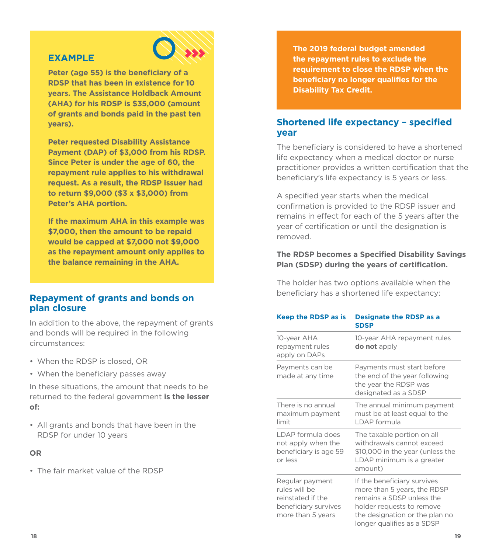#### **EXAMPLE**



**Peter (age 55) is the beneficiary of a RDSP that has been in existence for 10 years. The Assistance Holdback Amount (AHA) for his RDSP is \$35,000 (amount of grants and bonds paid in the past ten years).** 

**Peter requested Disability Assistance Payment (DAP) of \$3,000 from his RDSP. Since Peter is under the age of 60, the repayment rule applies to his withdrawal request. As a result, the RDSP issuer had to return \$9,000 (\$3 x \$3,000) from Peter's AHA portion.** 

**If the maximum AHA in this example was \$7,000, then the amount to be repaid would be capped at \$7,000 not \$9,000 as the repayment amount only applies to the balance remaining in the AHA.**

#### **Repayment of grants and bonds on plan closure**

In addition to the above, the repayment of grants and bonds will be required in the following circumstances:

- When the RDSP is closed, OR
- When the beneficiary passes away

In these situations, the amount that needs to be returned to the federal government **is the lesser of:**

• All grants and bonds that have been in the RDSP for under 10 years

#### **OR**

• The fair market value of the RDSP

**The 2019 federal budget amended the repayment rules to exclude the requirement to close the RDSP when the beneficiary no longer qualifies for the Disability Tax Credit.**

## **Shortened life expectancy – specified year**

The beneficiary is considered to have a shortened life expectancy when a medical doctor or nurse practitioner provides a written certification that the beneficiary's life expectancy is 5 years or less.

A specified year starts when the medical confirmation is provided to the RDSP issuer and remains in effect for each of the 5 years after the year of certification or until the designation is removed.

#### **The RDSP becomes a Specified Disability Savings Plan (SDSP) during the years of certification.**

The holder has two options available when the beneficiary has a shortened life expectancy:

| <b>Keep the RDSP as is</b>                                                                         | <b>Designate the RDSP as a</b><br><b>SDSP</b>                                                                                                                                        |
|----------------------------------------------------------------------------------------------------|--------------------------------------------------------------------------------------------------------------------------------------------------------------------------------------|
| 10-year AHA<br>repayment rules<br>apply on DAPs                                                    | 10-year AHA repayment rules<br><b>do not</b> apply                                                                                                                                   |
| Payments can be<br>made at any time                                                                | Payments must start before<br>the end of the year following<br>the year the RDSP was<br>designated as a SDSP                                                                         |
| There is no annual<br>maximum payment<br>limit                                                     | The annual minimum payment<br>must be at least equal to the<br><b>I DAP formula</b>                                                                                                  |
| I DAP formula does<br>not apply when the<br>beneficiary is age 59<br>or less                       | The taxable portion on all<br>withdrawals cannot exceed<br>\$10,000 in the year (unless the<br>LDAP minimum is a greater<br>amount)                                                  |
| Regular payment<br>rules will be<br>reinstated if the<br>beneficiary survives<br>more than 5 years | If the beneficiary survives<br>more than 5 years, the RDSP<br>remains a SDSP unless the<br>holder requests to remove<br>the designation or the plan no<br>longer qualifies as a SDSP |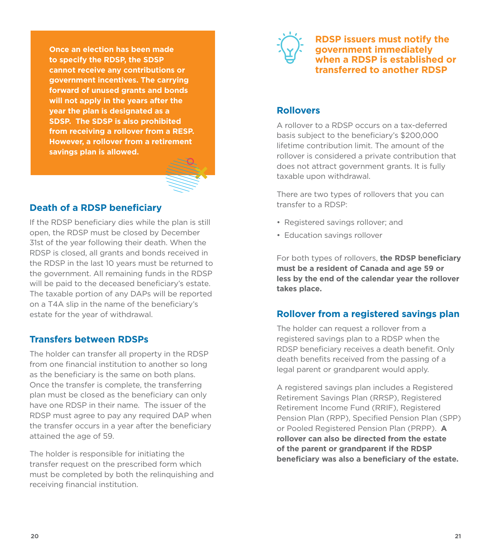**Once an election has been made to specify the RDSP, the SDSP cannot receive any contributions or government incentives. The carrying forward of unused grants and bonds will not apply in the years after the year the plan is designated as a SDSP. The SDSP is also prohibited from receiving a rollover from a RESP. However, a rollover from a retirement savings plan is allowed.**



## **Death of a RDSP beneficiary**

If the RDSP beneficiary dies while the plan is still open, the RDSP must be closed by December 31st of the year following their death. When the RDSP is closed, all grants and bonds received in the RDSP in the last 10 years must be returned to the government. All remaining funds in the RDSP will be paid to the deceased beneficiary's estate. The taxable portion of any DAPs will be reported on a T4A slip in the name of the beneficiary's estate for the year of withdrawal.

#### **Transfers between RDSPs**

The holder can transfer all property in the RDSP from one financial institution to another so long as the beneficiary is the same on both plans. Once the transfer is complete, the transferring plan must be closed as the beneficiary can only have one RDSP in their name. The issuer of the RDSP must agree to pay any required DAP when the transfer occurs in a year after the beneficiary attained the age of 59.

The holder is responsible for initiating the transfer request on the prescribed form which must be completed by both the relinquishing and receiving financial institution.



**RDSP issuers must notify the government immediately when a RDSP is established or transferred to another RDSP**

# **Rollovers**

A rollover to a RDSP occurs on a tax-deferred basis subject to the beneficiary's \$200,000 lifetime contribution limit. The amount of the rollover is considered a private contribution that does not attract government grants. It is fully taxable upon withdrawal.

There are two types of rollovers that you can transfer to a RDSP:

- Registered savings rollover; and
- Education savings rollover

For both types of rollovers, **the RDSP beneficiary must be a resident of Canada and age 59 or less by the end of the calendar year the rollover takes place.** 

## **Rollover from a registered savings plan**

The holder can request a rollover from a registered savings plan to a RDSP when the RDSP beneficiary receives a death benefit. Only death benefits received from the passing of a legal parent or grandparent would apply.

A registered savings plan includes a Registered Retirement Savings Plan (RRSP), Registered Retirement Income Fund (RRIF), Registered Pension Plan (RPP), Specified Pension Plan (SPP) or Pooled Registered Pension Plan (PRPP). **A rollover can also be directed from the estate of the parent or grandparent if the RDSP beneficiary was also a beneficiary of the estate.**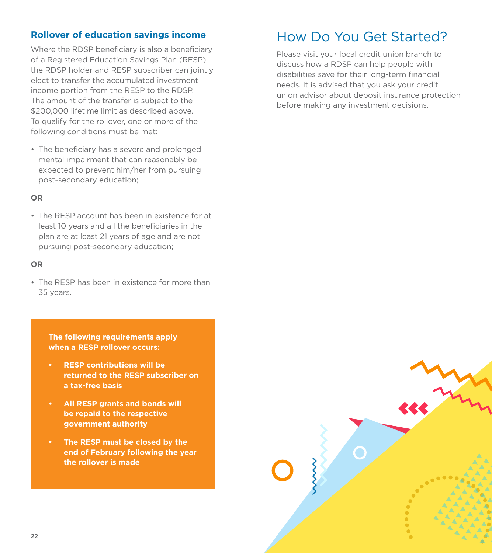# **Rollover of education savings income**

Where the RDSP beneficiary is also a beneficiary of a Registered Education Savings Plan (RESP), the RDSP holder and RESP subscriber can jointly elect to transfer the accumulated investment income portion from the RESP to the RDSP. The amount of the transfer is subject to the \$200,000 lifetime limit as described above. To qualify for the rollover, one or more of the following conditions must be met:

• The beneficiary has a severe and prolonged mental impairment that can reasonably be expected to prevent him/her from pursuing post-secondary education;

#### **OR**

• The RESP account has been in existence for at least 10 years and all the beneficiaries in the plan are at least 21 years of age and are not pursuing post-secondary education;

#### **OR**

• The RESP has been in existence for more than 35 years.

**The following requirements apply when a RESP rollover occurs:**

- **• RESP contributions will be returned to the RESP subscriber on a tax-free basis**
- **• All RESP grants and bonds will be repaid to the respective government authority**
- **• The RESP must be closed by the end of February following the year the rollover is made**

# How Do You Get Started?

Please visit your local credit union branch to discuss how a RDSP can help people with disabilities save for their long-term financial needs. It is advised that you ask your credit union advisor about deposit insurance protection before making any investment decisions.